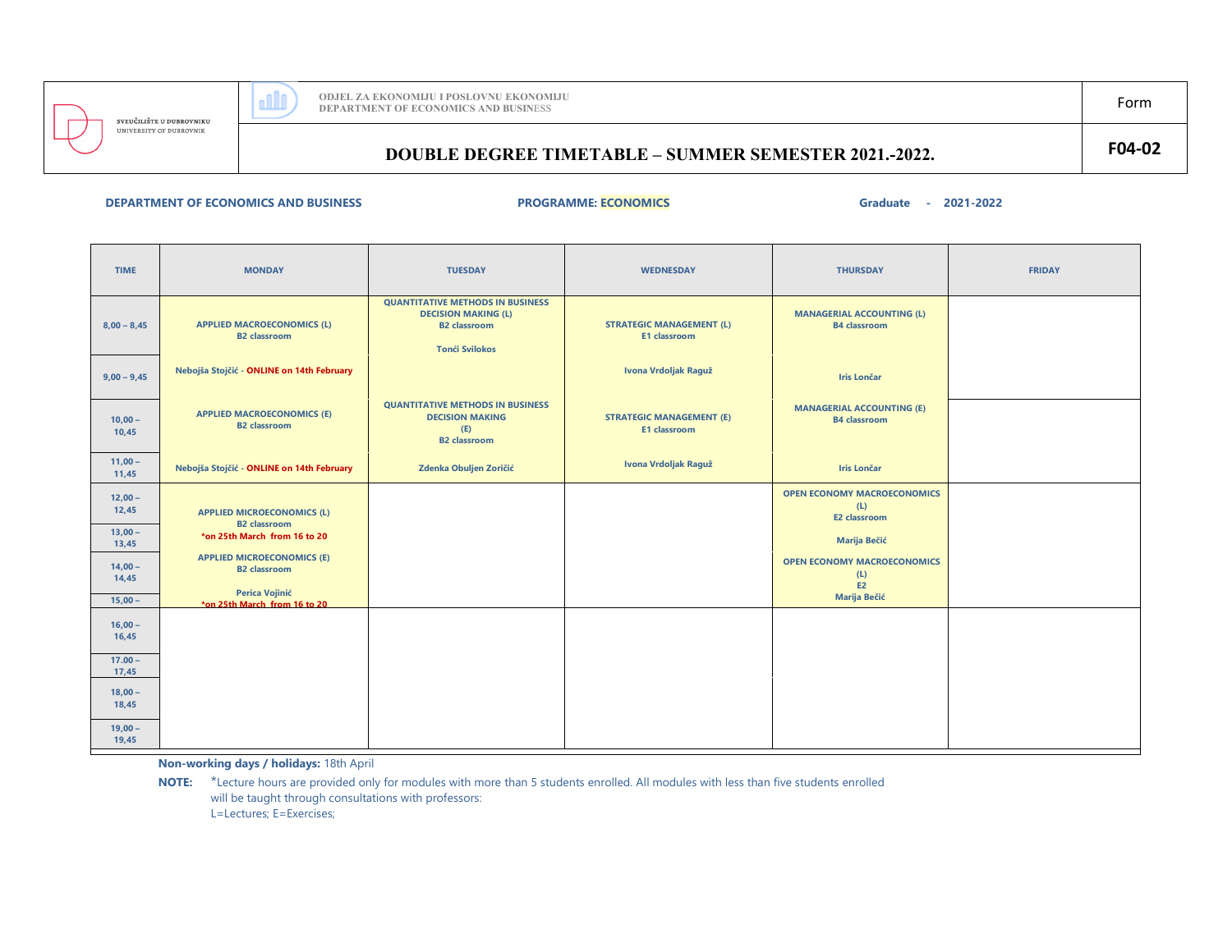

# **DOUBLE DEGREE TIMETABLE – SUMMER SEMESTER 2021.-2022. F04-02**

## **DEPARTMENT OF ECONOMICS**

### **AND BUSINESS PROGRAMME: ECONOMICS Graduate - 2021-2022**

| <b>TIME</b>                     | <b>MONDAY</b>                                                                                                      | <b>TUESDAY</b>                                                                                                        | <b>WEDNESDAY</b>                                       | <b>THURSDAY</b>                                                        | <b>FRIDAY</b> |
|---------------------------------|--------------------------------------------------------------------------------------------------------------------|-----------------------------------------------------------------------------------------------------------------------|--------------------------------------------------------|------------------------------------------------------------------------|---------------|
| $8,00 - 8,45$                   | <b>APPLIED MACROECONOMICS (L)</b><br><b>B2</b> classroom                                                           | <b>QUANTITATIVE METHODS IN BUSINESS</b><br><b>DECISION MAKING (L)</b><br><b>B2</b> classroom<br><b>Tonći Svilokos</b> | <b>STRATEGIC MANAGEMENT (L)</b><br><b>E1 classroom</b> | <b>MANAGERIAL ACCOUNTING (L)</b><br><b>B4</b> classroom                |               |
| $9,00 - 9,45$                   | Nebojša Stojčić - ONLINE on 14th February                                                                          |                                                                                                                       | Ivona Vrdoljak Raguž                                   | <b>Iris Lončar</b>                                                     |               |
| $10,00 -$<br>10,45              | <b>APPLIED MACROECONOMICS (E)</b><br><b>B2</b> classroom                                                           | <b>QUANTITATIVE METHODS IN BUSINESS</b><br><b>DECISION MAKING</b><br>(E)<br><b>B2</b> classroom                       | <b>STRATEGIC MANAGEMENT (E)</b><br>E1 classroom        | <b>MANAGERIAL ACCOUNTING (E)</b><br><b>B4</b> classroom                |               |
| $11,00 -$<br>11,45              | Nebojša Stojčić - ONLINE on 14th February                                                                          | Zdenka Obuljen Zoričić                                                                                                | Ivona Vrdoljak Raguž                                   | <b>Iris Lončar</b>                                                     |               |
| $12,00 -$<br>12,45              | <b>APPLIED MICROECONOMICS (L)</b><br><b>B2</b> classroom                                                           |                                                                                                                       |                                                        | <b>OPEN ECONOMY MACROECONOMICS</b><br>(L)<br><b>E2 classroom</b>       |               |
| $13,00 -$<br>13,45              | *on 25th March from 16 to 20                                                                                       |                                                                                                                       |                                                        | <b>Marija Bečić</b>                                                    |               |
| $14,00 -$<br>14,45<br>$15,00 -$ | <b>APPLIED MICROECONOMICS (E)</b><br><b>B2</b> classroom<br><b>Perica Vojinić</b><br>*on 25th March, from 16 to 20 |                                                                                                                       |                                                        | <b>OPEN ECONOMY MACROECONOMICS</b><br>(L)<br>E2<br><b>Marija Bečić</b> |               |
| $16,00 -$<br>16,45              |                                                                                                                    |                                                                                                                       |                                                        |                                                                        |               |
| $17.00 -$<br>17,45              |                                                                                                                    |                                                                                                                       |                                                        |                                                                        |               |
| $18,00 -$<br>18,45              |                                                                                                                    |                                                                                                                       |                                                        |                                                                        |               |
| $19,00 -$<br>19,45              |                                                                                                                    |                                                                                                                       |                                                        |                                                                        |               |

**Non-working days / holidays:** 18th April

**NOTE:** \*Lecture hours are provided only for modules with more than 5 students enrolled. All modules with less than five students enrolled will be taught through consultations with professors: L=Lectures; E=Exercises;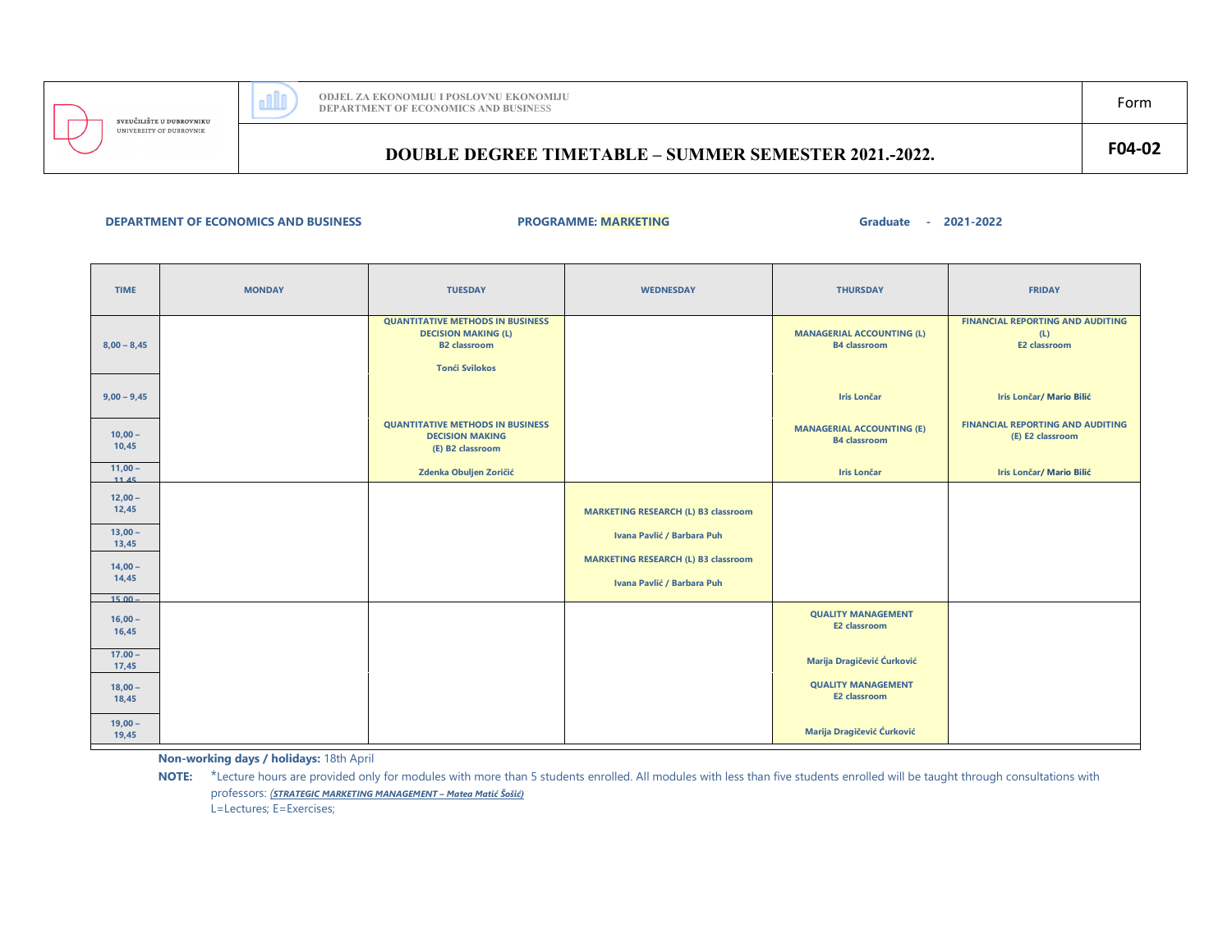

UNIVERSITY OF DUBROVNIK

 $\overline{\phantom{a}}$ 

# **DOUBLE DEGREE TIMETABLE – SUMMER SEMESTER 2021.-2022. F04-02**

### **DEPARTMENT OF ECONOMICS AND BUSINESS PROGRAMME: MARKETING**

**Graduate - 2021-2022**

| <b>TIME</b>                     | <b>MONDAY</b> | <b>TUESDAY</b>                                                                                                        | <b>WEDNESDAY</b>                                                         | <b>THURSDAY</b>                                         | <b>FRIDAY</b>                                                         |
|---------------------------------|---------------|-----------------------------------------------------------------------------------------------------------------------|--------------------------------------------------------------------------|---------------------------------------------------------|-----------------------------------------------------------------------|
| $8,00 - 8,45$                   |               | <b>QUANTITATIVE METHODS IN BUSINESS</b><br><b>DECISION MAKING (L)</b><br><b>B2</b> classroom<br><b>Tonći Svilokos</b> |                                                                          | <b>MANAGERIAL ACCOUNTING (L)</b><br><b>B4</b> classroom | <b>FINANCIAL REPORTING AND AUDITING</b><br>(L)<br><b>E2 classroom</b> |
| $9,00 - 9,45$                   |               |                                                                                                                       |                                                                          | <b>Iris Lončar</b>                                      | <b>Iris Lončar/ Mario Bilić</b>                                       |
| $10,00 -$<br>10,45              |               | <b>QUANTITATIVE METHODS IN BUSINESS</b><br><b>DECISION MAKING</b><br>(E) B2 classroom                                 |                                                                          | <b>MANAGERIAL ACCOUNTING (E)</b><br><b>B4</b> classroom | <b>FINANCIAL REPORTING AND AUDITING</b><br>(E) E2 classroom           |
| $11,00 -$<br>11.45              |               | Zdenka Obuljen Zoričić                                                                                                |                                                                          | <b>Iris Lončar</b>                                      | <b>Iris Lončar/ Mario Bilić</b>                                       |
| $12,00 -$<br>12,45              |               |                                                                                                                       | <b>MARKETING RESEARCH (L) B3 classroom</b>                               |                                                         |                                                                       |
| $13,00 -$<br>13,45              |               |                                                                                                                       | Ivana Pavlić / Barbara Puh                                               |                                                         |                                                                       |
| $14,00 -$<br>14,45              |               |                                                                                                                       | <b>MARKETING RESEARCH (L) B3 classroom</b><br>Ivana Pavlić / Barbara Puh |                                                         |                                                                       |
| $15.00 -$<br>$16,00 -$<br>16,45 |               |                                                                                                                       |                                                                          | <b>QUALITY MANAGEMENT</b><br><b>E2 classroom</b>        |                                                                       |
| $17.00 -$<br>17,45              |               |                                                                                                                       |                                                                          | Marija Dragičević Ćurković                              |                                                                       |
| $18,00 -$<br>18,45              |               |                                                                                                                       |                                                                          | <b>QUALITY MANAGEMENT</b><br><b>E2 classroom</b>        |                                                                       |
| $19,00 -$<br>19,45              |               |                                                                                                                       |                                                                          | Marija Dragičević Ćurković                              |                                                                       |

**Non-working days / holidays:** 18th April

NOTE: \*Lecture hours are provided only for modules with more than 5 students enrolled. All modules with less than five students enrolled will be taught through consultations with professors: *(STRATEGIC MARKETING MANAGEMENT – Matea Matić Šošić)*L=Lectures; E=Exercises;